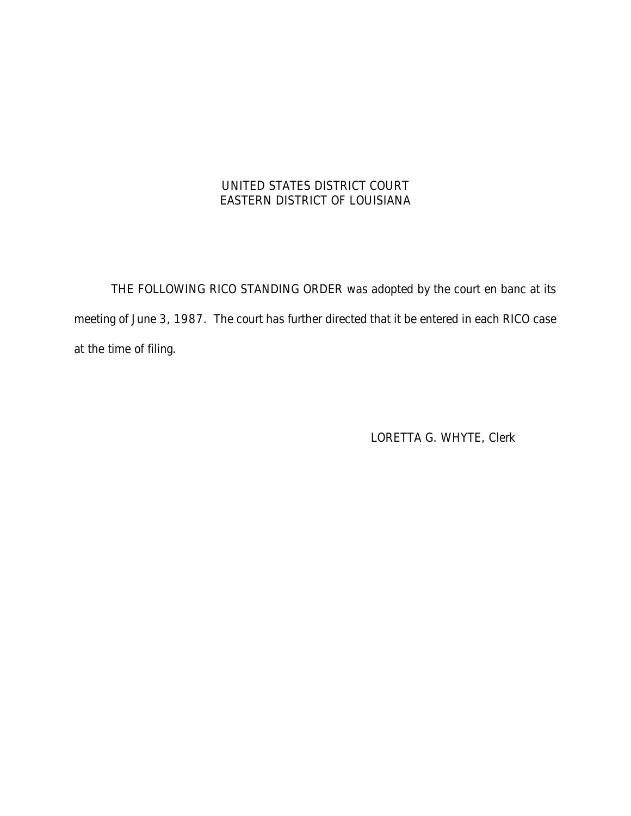## UNITED STATES DISTRICT COURT EASTERN DISTRICT OF LOUISIANA

THE FOLLOWING RICO STANDING ORDER was adopted by the court en banc at its meeting of June 3, 1987. The court has further directed that it be entered in each RICO case at the time of filing.

LORETTA G. WHYTE, Clerk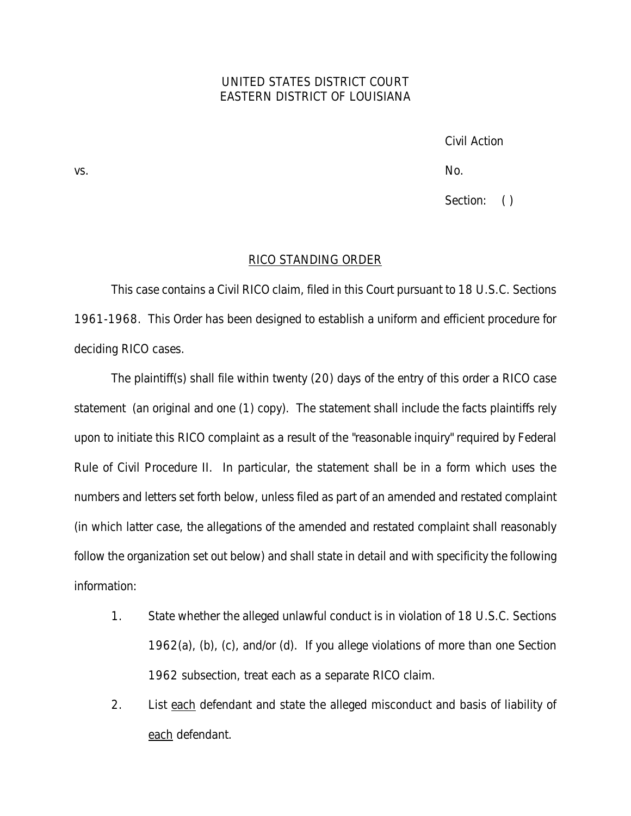## UNITED STATES DISTRICT COURT EASTERN DISTRICT OF LOUISIANA

Civil Action

vs. No.

Section: ()

## RICO STANDING ORDER

This case contains a Civil RICO claim, filed in this Court pursuant to 18 U.S.C. Sections 1961-1968. This Order has been designed to establish a uniform and efficient procedure for deciding RICO cases.

The plaintiff(s) shall file within twenty (20) days of the entry of this order a RICO case statement (an original and one (1) copy). The statement shall include the facts plaintiffs rely upon to initiate this RICO complaint as a result of the "reasonable inquiry" required by Federal Rule of Civil Procedure II. In particular, the statement shall be in a form which uses the numbers and letters set forth below, unless filed as part of an amended and restated complaint (in which latter case, the allegations of the amended and restated complaint shall reasonably follow the organization set out below) and shall state in detail and with specificity the following information:

- 1. State whether the alleged unlawful conduct is in violation of 18 U.S.C. Sections 1962(a), (b), (c), and/or (d). If you allege violations of more than one Section 1962 subsection, treat each as a separate RICO claim.
- 2. List each defendant and state the alleged misconduct and basis of liability of each defendant.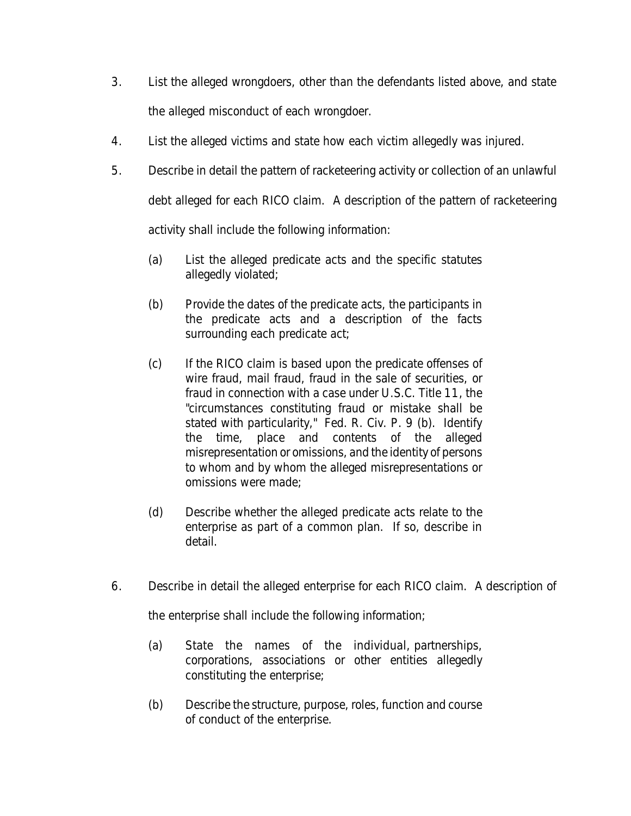- 3. List the alleged wrongdoers, other than the defendants listed above, and state the alleged misconduct of each wrongdoer.
- 4. List the alleged victims and state how each victim allegedly was injured.
- 5. Describe in detail the pattern of racketeering activity or collection of an unlawful debt alleged for each RICO claim. A description of the pattern of racketeering activity shall include the following information:
	- (a) List the alleged predicate acts and the specific statutes allegedly violated;
	- (b) Provide the dates of the predicate acts, the participants in the predicate acts and a description of the facts surrounding each predicate act;
	- (c) If the RICO claim is based upon the predicate offenses of wire fraud, mail fraud, fraud in the sale of securities, or fraud in connection with a case under U.S.C. Title 11, the "circumstances constituting fraud or mistake shall be stated with particularity," Fed. R. Civ. P. 9 (b). Identify the time, place and contents of the alleged misrepresentation or omissions, and the identity of persons to whom and by whom the alleged misrepresentations or omissions were made;
	- (d) Describe whether the alleged predicate acts relate to the enterprise as part of a common plan. If so, describe in detail.
- 6. Describe in detail the alleged enterprise for each RICO claim. A description of

the enterprise shall include the following information;

- (a) State the names of the individual, partnerships, corporations, associations or other entities allegedly constituting the enterprise;
- (b) Describe the structure, purpose, roles, function and course of conduct of the enterprise.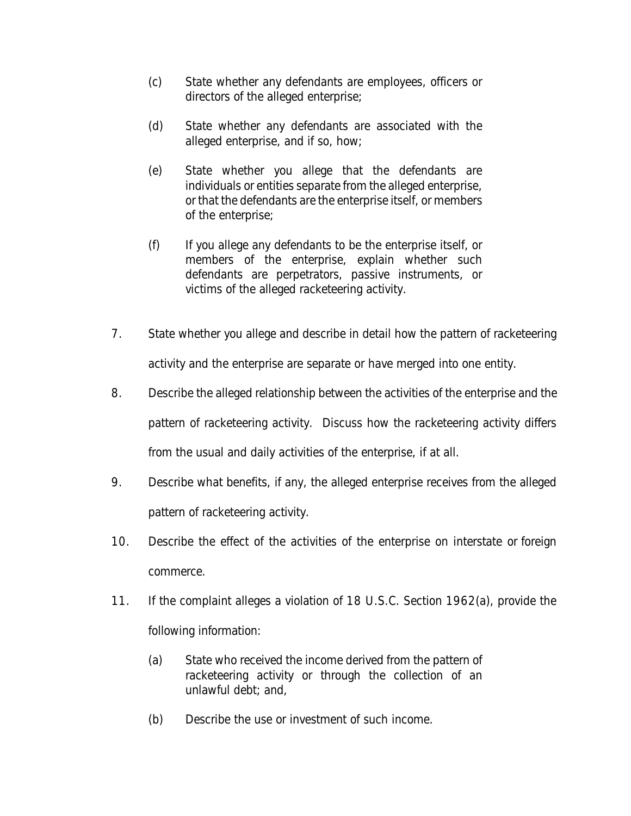- (c) State whether any defendants are employees, officers or directors of the alleged enterprise;
- (d) State whether any defendants are associated with the alleged enterprise, and if so, how;
- (e) State whether you allege that the defendants are individuals or entities separate from the alleged enterprise, or that the defendants are the enterprise itself, or members of the enterprise;
- (f) If you allege any defendants to be the enterprise itself, or members of the enterprise, explain whether such defendants are perpetrators, passive instruments, or victims of the alleged racketeering activity.
- 7. State whether you allege and describe in detail how the pattern of racketeering activity and the enterprise are separate or have merged into one entity.
- 8. Describe the alleged relationship between the activities of the enterprise and the pattern of racketeering activity. Discuss how the racketeering activity differs from the usual and daily activities of the enterprise, if at all.
- 9. Describe what benefits, if any, the alleged enterprise receives from the alleged pattern of racketeering activity.
- 10. Describe the effect of the activities of the enterprise on interstate or foreign commerce.
- 11. If the complaint alleges a violation of 18 U.S.C. Section 1962(a), provide the following information:
	- (a) State who received the income derived from the pattern of racketeering activity or through the collection of an unlawful debt; and,
	- (b) Describe the use or investment of such income.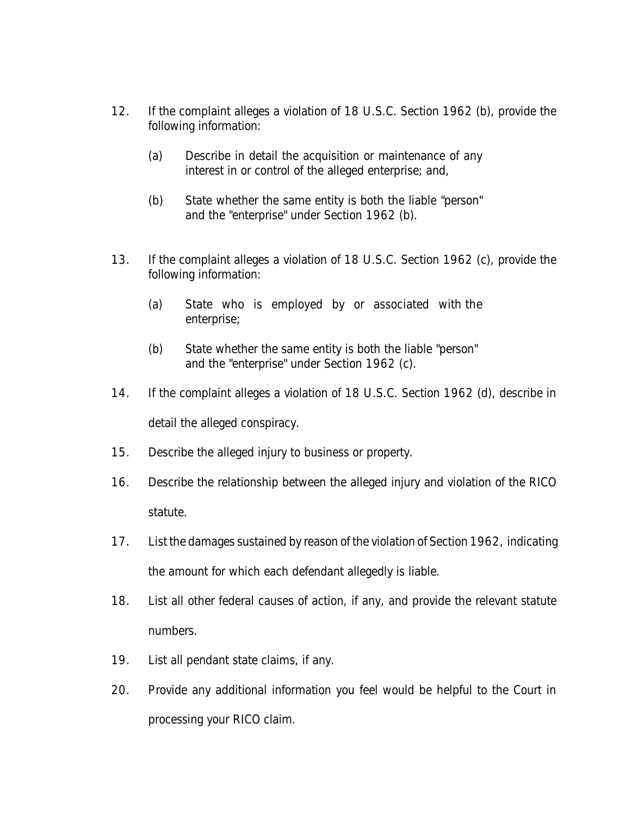- 12. If the complaint alleges a violation of 18 U.S.C. Section 1962 (b), provide the following information:
	- (a) Describe in detail the acquisition or maintenance of any interest in or control of the alleged enterprise; and,
	- (b) State whether the same entity is both the liable "person" and the "enterprise" under Section 1962 (b).
- 13. If the complaint alleges a violation of 18 U.S.C. Section 1962 (c), provide the following information:
	- (a) State who is employed by or associated with the enterprise;
	- (b) State whether the same entity is both the liable "person" and the "enterprise" under Section 1962 (c).
- 14. If the complaint alleges a violation of 18 U.S.C. Section 1962 (d), describe in detail the alleged conspiracy.
- 15. Describe the alleged injury to business or property.
- 16. Describe the relationship between the alleged injury and violation of the RICO statute.
- 17. List the damages sustained by reason of the violation of Section 1962, indicating the amount for which each defendant allegedly is liable.
- 18. List all other federal causes of action, if any, and provide the relevant statute numbers.
- 19. List all pendant state claims, if any.
- 20. Provide any additional information you feel would be helpful to the Court in processing your RICO claim.